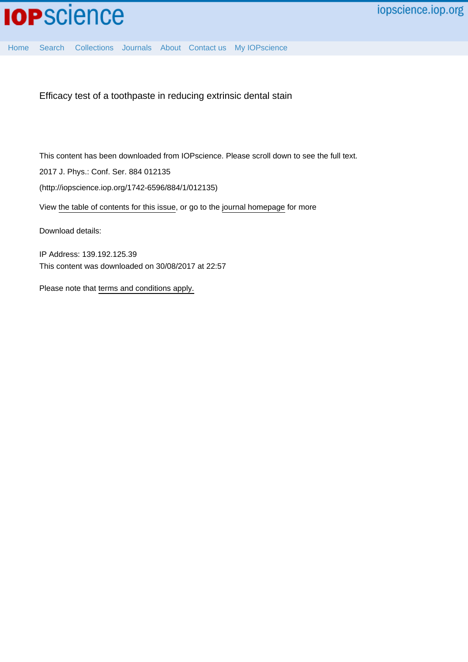

[Home](http://iopscience.iop.org/) [Search](http://iopscience.iop.org/search) [Collections](http://iopscience.iop.org/collections) [Journals](http://iopscience.iop.org/journals) [About](http://iopscience.iop.org/page/aboutioppublishing) [Contact us](http://iopscience.iop.org/contact) [My IOPscience](http://iopscience.iop.org/myiopscience)

Efficacy test of a toothpaste in reducing extrinsic dental stain

This content has been downloaded from IOPscience. Please scroll down to see the full text.

2017 J. Phys.: Conf. Ser. 884 012135

(http://iopscience.iop.org/1742-6596/884/1/012135)

View [the table of contents for this issue](http://iopscience.iop.org/1742-6596/884/1), or go to the [journal homepage](http://iopscience.iop.org/1742-6596) for more

Download details:

IP Address: 139.192.125.39 This content was downloaded on 30/08/2017 at 22:57

Please note that [terms and conditions apply.](http://iopscience.iop.org/page/terms)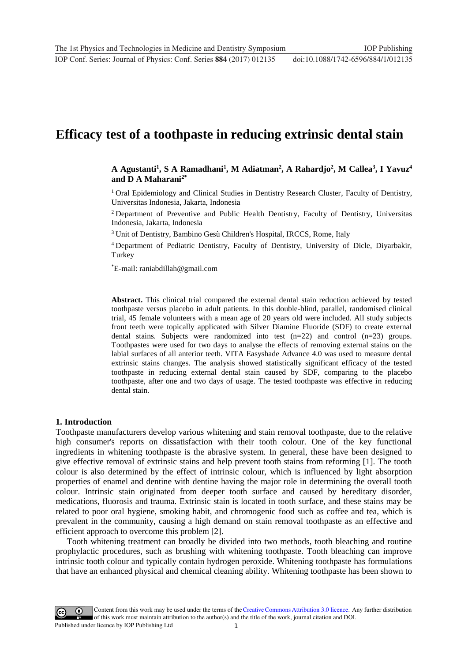# **Efficacy test of a toothpaste in reducing extrinsic dental stain**

## **A Agustanti1 , S A Ramadhani1 , M Adiatman2 , A Rahardjo2 , M Callea3 , I Yavuz4 and D A Maharani2\***

<sup>1</sup> Oral Epidemiology and Clinical Studies in Dentistry Research Cluster, Faculty of Dentistry, Universitas Indonesia, Jakarta, Indonesia

<sup>2</sup> Department of Preventive and Public Health Dentistry, Faculty of Dentistry, Universitas Indonesia, Jakarta, Indonesia

<sup>3</sup> Unit of Dentistry, Bambino Gesù Children's Hospital, IRCCS, Rome, Italy

<sup>4</sup> Department of Pediatric Dentistry, Faculty of Dentistry, University of Dicle, Diyarbakir, Turkey

\* E-mail: raniabdillah@gmail.com

**Abstract.** This clinical trial compared the external dental stain reduction achieved by tested toothpaste versus placebo in adult patients. In this double-blind, parallel, randomised clinical trial, 45 female volunteers with a mean age of 20 years old were included. All study subjects front teeth were topically applicated with Silver Diamine Fluoride (SDF) to create external dental stains. Subjects were randomized into test  $(n=22)$  and control  $(n=23)$  groups. Toothpastes were used for two days to analyse the effects of removing external stains on the labial surfaces of all anterior teeth. VITA Easyshade Advance 4.0 was used to measure dental extrinsic stains changes. The analysis showed statistically significant efficacy of the tested toothpaste in reducing external dental stain caused by SDF, comparing to the placebo toothpaste, after one and two days of usage. The tested toothpaste was effective in reducing dental stain.

#### **1. Introduction**

Toothpaste manufacturers develop various whitening and stain removal toothpaste, due to the relative high consumer's reports on dissatisfaction with their tooth colour. One of the key functional ingredients in whitening toothpaste is the abrasive system. In general, these have been designed to give effective removal of extrinsic stains and help prevent tooth stains from reforming [1]. The tooth colour is also determined by the effect of intrinsic colour, which is influenced by light absorption properties of enamel and dentine with dentine having the major role in determining the overall tooth colour. Intrinsic stain originated from deeper tooth surface and caused by hereditary disorder, medications, fluorosis and trauma. Extrinsic stain is located in tooth surface, and these stains may be related to poor oral hygiene, smoking habit, and chromogenic food such as coffee and tea, which is prevalent in the community, causing a high demand on stain removal toothpaste as an effective and efficient approach to overcome this problem [2].

Tooth whitening treatment can broadly be divided into two methods, tooth bleaching and routine prophylactic procedures, such as brushing with whitening toothpaste. Tooth bleaching can improve intrinsic tooth colour and typically contain hydrogen peroxide. Whitening toothpaste has formulations that have an enhanced physical and chemical cleaning ability. Whitening toothpaste has been shown to

1 Content from this work may be used under the terms of the[Creative Commons Attribution 3.0 licence.](http://creativecommons.org/licenses/by/3.0) Any further distribution of this work must maintain attribution to the author(s) and the title of the work, journal citation and DOI. Published under licence by IOP Publishing Ltd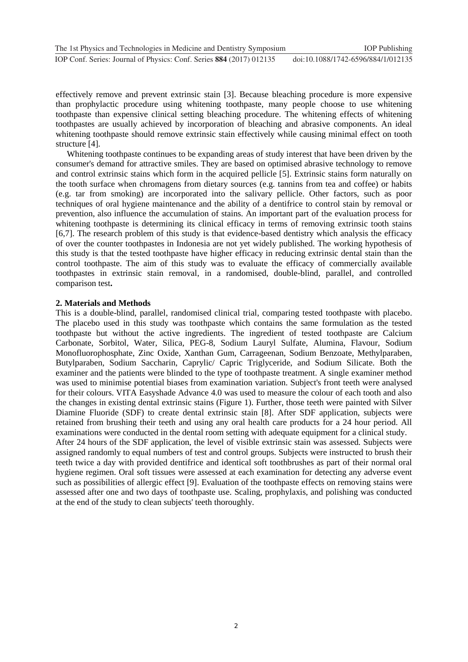effectively remove and prevent extrinsic stain [3]. Because bleaching procedure is more expensive than prophylactic procedure using whitening toothpaste, many people choose to use whitening toothpaste than expensive clinical setting bleaching procedure. The whitening effects of whitening toothpastes are usually achieved by incorporation of bleaching and abrasive components. An ideal whitening toothpaste should remove extrinsic stain effectively while causing minimal effect on tooth structure [4].

Whitening toothpaste continues to be expanding areas of study interest that have been driven by the consumer's demand for attractive smiles. They are based on optimised abrasive technology to remove and control extrinsic stains which form in the acquired pellicle [5]. Extrinsic stains form naturally on the tooth surface when chromagens from dietary sources (e.g. tannins from tea and coffee) or habits (e.g. tar from smoking) are incorporated into the salivary pellicle. Other factors, such as poor techniques of oral hygiene maintenance and the ability of a dentifrice to control stain by removal or prevention, also influence the accumulation of stains. An important part of the evaluation process for whitening toothpaste is determining its clinical efficacy in terms of removing extrinsic tooth stains [6,7]. The research problem of this study is that evidence-based dentistry which analysis the efficacy of over the counter toothpastes in Indonesia are not yet widely published. The working hypothesis of this study is that the tested toothpaste have higher efficacy in reducing extrinsic dental stain than the control toothpaste. The aim of this study was to evaluate the efficacy of commercially available toothpastes in extrinsic stain removal, in a randomised, double-blind, parallel, and controlled comparison test**.**

## **2. Materials and Methods**

This is a double-blind, parallel, randomised clinical trial, comparing tested toothpaste with placebo. The placebo used in this study was toothpaste which contains the same formulation as the tested toothpaste but without the active ingredients. The ingredient of tested toothpaste are Calcium Carbonate, Sorbitol, Water, Silica, PEG-8, Sodium Lauryl Sulfate, Alumina, Flavour, Sodium Monofluorophosphate, Zinc Oxide, Xanthan Gum, Carrageenan, Sodium Benzoate, Methylparaben, Butylparaben, Sodium Saccharin, Caprylic/ Capric Triglyceride, and Sodium Silicate. Both the examiner and the patients were blinded to the type of toothpaste treatment. A single examiner method was used to minimise potential biases from examination variation. Subject's front teeth were analysed for their colours. VITA Easyshade Advance 4.0 was used to measure the colour of each tooth and also the changes in existing dental extrinsic stains (Figure 1). Further, those teeth were painted with Silver Diamine Fluoride (SDF) to create dental extrinsic stain [8]. After SDF application, subjects were retained from brushing their teeth and using any oral health care products for a 24 hour period. All examinations were conducted in the dental room setting with adequate equipment for a clinical study. After 24 hours of the SDF application, the level of visible extrinsic stain was assessed. Subjects were assigned randomly to equal numbers of test and control groups. Subjects were instructed to brush their teeth twice a day with provided dentifrice and identical soft toothbrushes as part of their normal oral hygiene regimen. Oral soft tissues were assessed at each examination for detecting any adverse event such as possibilities of allergic effect [9]. Evaluation of the toothpaste effects on removing stains were assessed after one and two days of toothpaste use. Scaling, prophylaxis, and polishing was conducted at the end of the study to clean subjects' teeth thoroughly.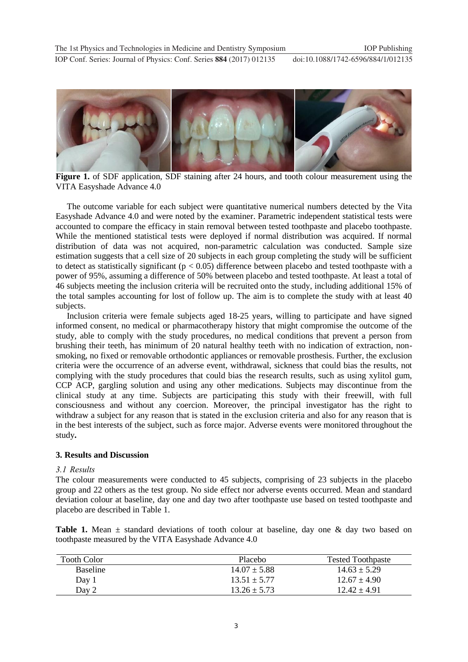**1234567890** IOP Conf. Series: Journal of Physics: Conf. Series **884** (2017) 012135 doi :10.1088/1742-6596/884/1/012135



Figure 1. of SDF application, SDF staining after 24 hours, and tooth colour measurement using the VITA Easyshade Advance 4.0

The outcome variable for each subject were quantitative numerical numbers detected by the Vita Easyshade Advance 4.0 and were noted by the examiner. Parametric independent statistical tests were accounted to compare the efficacy in stain removal between tested toothpaste and placebo toothpaste. While the mentioned statistical tests were deployed if normal distribution was acquired. If normal distribution of data was not acquired, non-parametric calculation was conducted. Sample size estimation suggests that a cell size of 20 subjects in each group completing the study will be sufficient to detect as statistically significant ( $p < 0.05$ ) difference between placebo and tested toothpaste with a power of 95%, assuming a difference of 50% between placebo and tested toothpaste. At least a total of 46 subjects meeting the inclusion criteria will be recruited onto the study, including additional 15% of the total samples accounting for lost of follow up. The aim is to complete the study with at least 40 subjects.

Inclusion criteria were female subjects aged 18-25 years, willing to participate and have signed informed consent, no medical or pharmacotherapy history that might compromise the outcome of the study, able to comply with the study procedures, no medical conditions that prevent a person from brushing their teeth, has minimum of 20 natural healthy teeth with no indication of extraction, nonsmoking, no fixed or removable orthodontic appliances or removable prosthesis. Further, the exclusion criteria were the occurrence of an adverse event, withdrawal, sickness that could bias the results, not complying with the study procedures that could bias the research results, such as using xylitol gum, CCP ACP, gargling solution and using any other medications. Subjects may discontinue from the clinical study at any time. Subjects are participating this study with their freewill, with full consciousness and without any coercion. Moreover, the principal investigator has the right to withdraw a subject for any reason that is stated in the exclusion criteria and also for any reason that is in the best interests of the subject, such as force major. Adverse events were monitored throughout the study**.**

## **3. Results and Discussion**

#### *3.1 Results*

The colour measurements were conducted to 45 subjects, comprising of 23 subjects in the placebo group and 22 others as the test group. No side effect nor adverse events occurred. Mean and standard deviation colour at baseline, day one and day two after toothpaste use based on tested toothpaste and placebo are described in Table 1.

**Table 1.** Mean ± standard deviations of tooth colour at baseline, day one & day two based on toothpaste measured by the VITA Easyshade Advance 4.0

| Tooth Color     | Placebo          | <b>Tested Toothpaste</b> |
|-----------------|------------------|--------------------------|
| <b>Baseline</b> | $14.07 \pm 5.88$ | $14.63 \pm 5.29$         |
| Day 1           | $13.51 \pm 5.77$ | $12.67 \pm 4.90$         |
| Day 2           | $13.26 \pm 5.73$ | $12.42 + 4.91$           |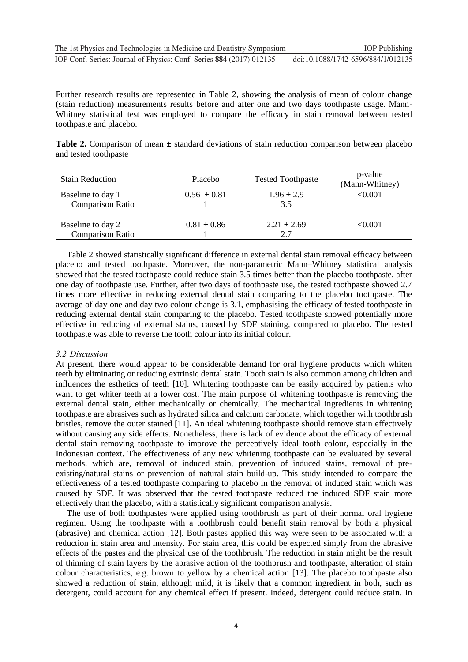Further research results are represented in Table 2, showing the analysis of mean of colour change (stain reduction) measurements results before and after one and two days toothpaste usage. Mann-Whitney statistical test was employed to compare the efficacy in stain removal between tested toothpaste and placebo.

**Table 2.** Comparison of mean  $\pm$  standard deviations of stain reduction comparison between placebo and tested toothpaste

| <b>Stain Reduction</b>                       | Placebo         | <b>Tested Toothpaste</b> | p-value<br>(Mann-Whitney) |
|----------------------------------------------|-----------------|--------------------------|---------------------------|
| Baseline to day 1<br><b>Comparison Ratio</b> | $0.56 \pm 0.81$ | $1.96 \pm 2.9$<br>3.5    | < 0.001                   |
| Baseline to day 2<br><b>Comparison Ratio</b> | $0.81 \pm 0.86$ | $2.21 \pm 2.69$<br>2.7   | < 0.001                   |

Table 2 showed statistically significant difference in external dental stain removal efficacy between placebo and tested toothpaste. Moreover, the non-parametric Mann–Whitney statistical analysis showed that the tested toothpaste could reduce stain 3.5 times better than the placebo toothpaste, after one day of toothpaste use. Further, after two days of toothpaste use, the tested toothpaste showed 2.7 times more effective in reducing external dental stain comparing to the placebo toothpaste. The average of day one and day two colour change is 3.1, emphasising the efficacy of tested toothpaste in reducing external dental stain comparing to the placebo. Tested toothpaste showed potentially more effective in reducing of external stains, caused by SDF staining, compared to placebo. The tested toothpaste was able to reverse the tooth colour into its initial colour.

### *3.2 Discussion*

At present, there would appear to be considerable demand for oral hygiene products which whiten teeth by eliminating or reducing extrinsic dental stain. Tooth stain is also common among children and influences the esthetics of teeth [10]. Whitening toothpaste can be easily acquired by patients who want to get whiter teeth at a lower cost. The main purpose of whitening toothpaste is removing the external dental stain, either mechanically or chemically. The mechanical ingredients in whitening toothpaste are abrasives such as hydrated silica and calcium carbonate, which together with toothbrush bristles, remove the outer stained [11]. An ideal whitening toothpaste should remove stain effectively without causing any side effects. Nonetheless, there is lack of evidence about the efficacy of external dental stain removing toothpaste to improve the perceptively ideal tooth colour, especially in the Indonesian context. The effectiveness of any new whitening toothpaste can be evaluated by several methods, which are, removal of induced stain, prevention of induced stains, removal of preexisting/natural stains or prevention of natural stain build-up. This study intended to compare the effectiveness of a tested toothpaste comparing to placebo in the removal of induced stain which was caused by SDF. It was observed that the tested toothpaste reduced the induced SDF stain more effectively than the placebo, with a statistically significant comparison analysis.

The use of both toothpastes were applied using toothbrush as part of their normal oral hygiene regimen. Using the toothpaste with a toothbrush could benefit stain removal by both a physical (abrasive) and chemical action [12]. Both pastes applied this way were seen to be associated with a reduction in stain area and intensity. For stain area, this could be expected simply from the abrasive effects of the pastes and the physical use of the toothbrush. The reduction in stain might be the result of thinning of stain layers by the abrasive action of the toothbrush and toothpaste, alteration of stain colour characteristics, e.g. brown to yellow by a chemical action [13]. The placebo toothpaste also showed a reduction of stain, although mild, it is likely that a common ingredient in both, such as detergent, could account for any chemical effect if present. Indeed, detergent could reduce stain. In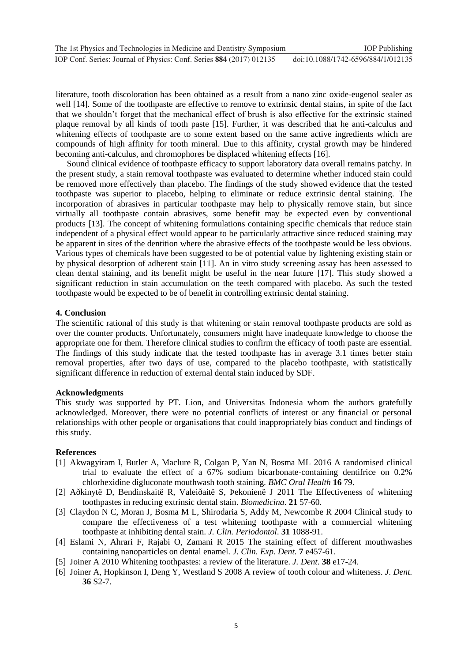| The 1st Physics and Technologies in Medicine and Dentistry Symposium | <b>IOP</b> Publishing              |
|----------------------------------------------------------------------|------------------------------------|
| IOP Conf. Series: Journal of Physics: Conf. Series 884 (2017) 012135 | doi:10.1088/1742-6596/884/1/012135 |

literature, tooth discoloration has been obtained as a result from a nano zinc oxide-eugenol sealer as well [14]. Some of the toothpaste are effective to remove to extrinsic dental stains, in spite of the fact that we shouldn't forget that the mechanical effect of brush is also effective for the extrinsic stained plaque removal by all kinds of tooth paste [15]. Further, it was described that he anti-calculus and whitening effects of toothpaste are to some extent based on the same active ingredients which are compounds of high affinity for tooth mineral. Due to this affinity, crystal growth may be hindered becoming anti-calculus, and chromophores be displaced whitening effects [16].

Sound clinical evidence of toothpaste efficacy to support laboratory data overall remains patchy. In the present study, a stain removal toothpaste was evaluated to determine whether induced stain could be removed more effectively than placebo. The findings of the study showed evidence that the tested toothpaste was superior to placebo, helping to eliminate or reduce extrinsic dental staining. The incorporation of abrasives in particular toothpaste may help to physically remove stain, but since virtually all toothpaste contain abrasives, some benefit may be expected even by conventional products [13]. The concept of whitening formulations containing specific chemicals that reduce stain independent of a physical effect would appear to be particularly attractive since reduced staining may be apparent in sites of the dentition where the abrasive effects of the toothpaste would be less obvious. Various types of chemicals have been suggested to be of potential value by lightening existing stain or by physical desorption of adherent stain [11]. An in vitro study screening assay has been assessed to clean dental staining, and its benefit might be useful in the near future [17]. This study showed a significant reduction in stain accumulation on the teeth compared with placebo. As such the tested toothpaste would be expected to be of benefit in controlling extrinsic dental staining.

### **4. Conclusion**

The scientific rational of this study is that whitening or stain removal toothpaste products are sold as over the counter products. Unfortunately, consumers might have inadequate knowledge to choose the appropriate one for them. Therefore clinical studies to confirm the efficacy of tooth paste are essential. The findings of this study indicate that the tested toothpaste has in average 3.1 times better stain removal properties, after two days of use, compared to the placebo toothpaste, with statistically significant difference in reduction of external dental stain induced by SDF.

## **Acknowledgments**

This study was supported by PT. Lion, and Universitas Indonesia whom the authors gratefully acknowledged. Moreover, there were no potential conflicts of interest or any financial or personal relationships with other people or organisations that could inappropriately bias conduct and findings of this study.

## **References**

- [1] Akwagyiram I, Butler A, Maclure R, Colgan P, Yan N, Bosma ML 2016 A randomised clinical trial to evaluate the effect of a 67% sodium bicarbonate-containing dentifrice on 0.2% chlorhexidine digluconate mouthwash tooth staining. *BMC Oral Health* **16** 79.
- [2] Aðkinytë D, Bendinskaitë R, Valeiðaitë S, Þekonienë J 2011 The Effectiveness of whitening toothpastes in reducing extrinsic dental stain. *Biomedicina*. **21** 57-60.
- [3] Claydon N C, Moran J, Bosma M L, Shirodaria S, Addy M, Newcombe R 2004 Clinical study to compare the effectiveness of a test whitening toothpaste with a commercial whitening toothpaste at inhibiting dental stain. *J. Clin. Periodontol*. **31** 1088-91.
- [4] Eslami N, Ahrari F, Rajabi O, Zamani R 2015 The staining effect of different mouthwashes containing nanoparticles on dental enamel*. J. Clin. Exp. Dent.* **7** e457-61.
- [5] Joiner A 2010 Whitening toothpastes: a review of the literature. *J. Dent*. **38** e17-24.
- [6] Joiner A, Hopkinson I, Deng Y, Westland S 2008 A review of tooth colour and whiteness. *J. Dent.* **36** S2-7.